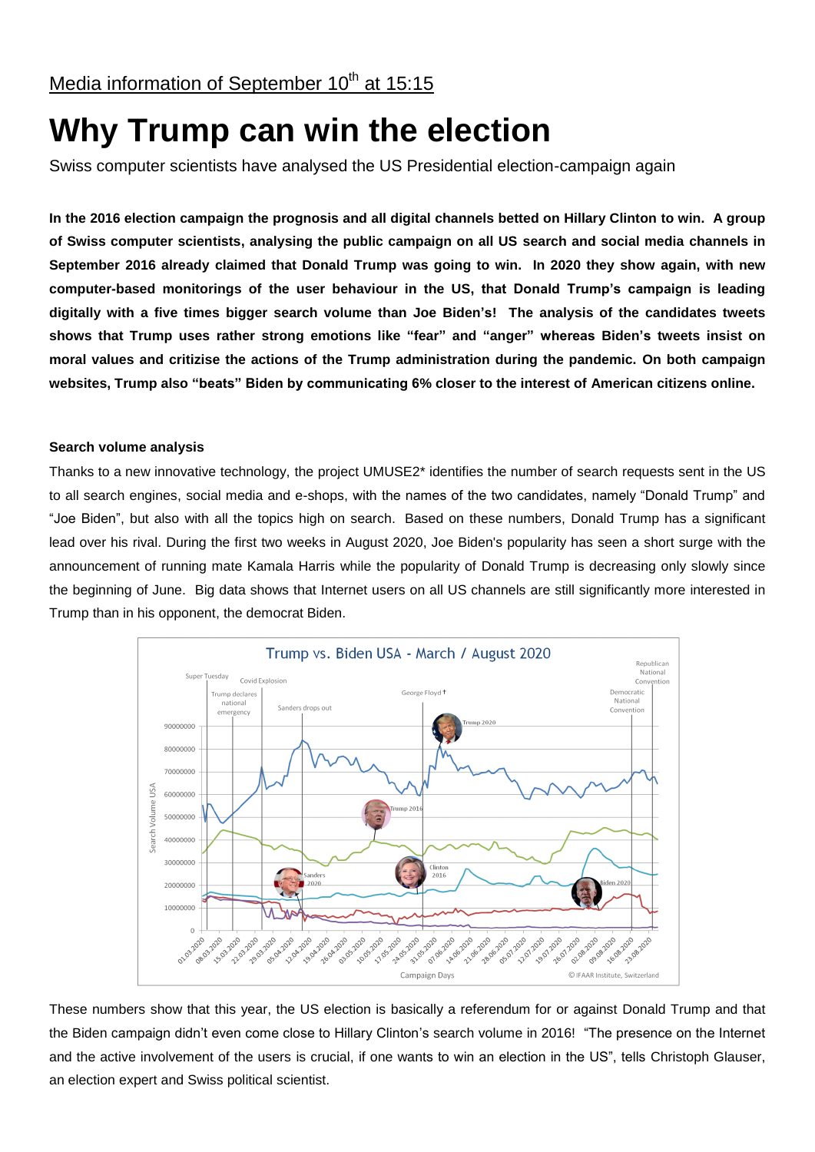## Media information of September 10<sup>th</sup> at 15:15

# **Why Trump can win the election**

Swiss computer scientists have analysed the US Presidential election-campaign again

**In the 2016 election campaign the prognosis and all digital channels betted on Hillary Clinton to win. A group of Swiss computer scientists, analysing the public campaign on all US search and social media channels in September 2016 already claimed that Donald Trump was going to win. In 2020 they show again, with new computer-based monitorings of the user behaviour in the US, that Donald Trump's campaign is leading digitally with a five times bigger search volume than Joe Biden's! The analysis of the candidates tweets shows that Trump uses rather strong emotions like "fear" and "anger" whereas Biden's tweets insist on moral values and critizise the actions of the Trump administration during the pandemic. On both campaign websites, Trump also "beats" Biden by communicating 6% closer to the interest of American citizens online.**

#### **Search volume analysis**

Thanks to a new innovative technology, the project UMUSE2\* identifies the number of search requests sent in the US to all search engines, social media and e-shops, with the names of the two candidates, namely "Donald Trump" and "Joe Biden", but also with all the topics high on search. Based on these numbers, Donald Trump has a significant lead over his rival. During the first two weeks in August 2020, Joe Biden's popularity has seen a short surge with the announcement of running mate Kamala Harris while the popularity of Donald Trump is decreasing only slowly since the beginning of June. Big data shows that Internet users on all US channels are still significantly more interested in Trump than in his opponent, the democrat Biden.



These numbers show that this year, the US election is basically a referendum for or against Donald Trump and that the Biden campaign didn't even come close to Hillary Clinton's search volume in 2016! "The presence on the Internet and the active involvement of the users is crucial, if one wants to win an election in the US", tells Christoph Glauser, an election expert and Swiss political scientist.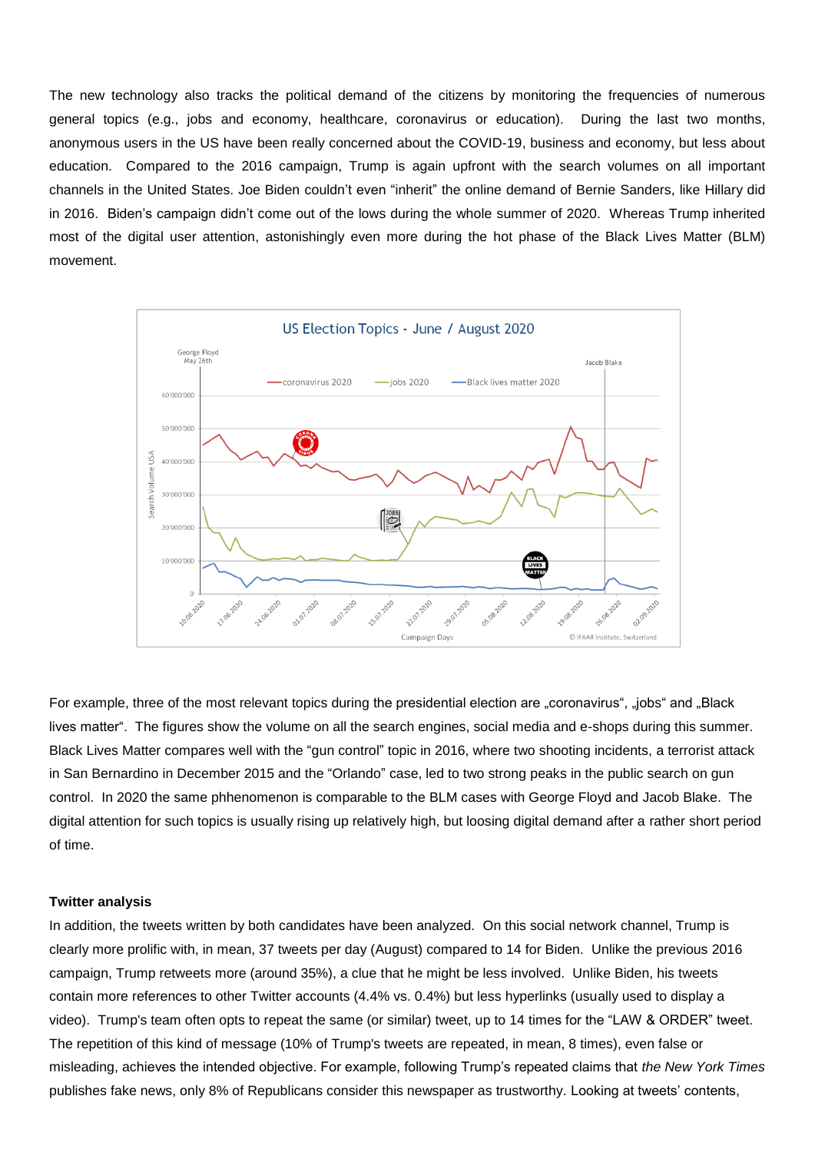The new technology also tracks the political demand of the citizens by monitoring the frequencies of numerous general topics (e.g., jobs and economy, healthcare, coronavirus or education). During the last two months, anonymous users in the US have been really concerned about the COVID-19, business and economy, but less about education. Compared to the 2016 campaign, Trump is again upfront with the search volumes on all important channels in the United States. Joe Biden couldn't even "inherit" the online demand of Bernie Sanders, like Hillary did in 2016. Biden's campaign didn't come out of the lows during the whole summer of 2020. Whereas Trump inherited most of the digital user attention, astonishingly even more during the hot phase of the Black Lives Matter (BLM) movement.



For example, three of the most relevant topics during the presidential election are "coronavirus", "jobs" and "Black lives matter". The figures show the volume on all the search engines, social media and e-shops during this summer. Black Lives Matter compares well with the "gun control" topic in 2016, where two shooting incidents, a terrorist attack in San Bernardino in December 2015 and the "Orlando" case, led to two strong peaks in the public search on gun control. In 2020 the same phhenomenon is comparable to the BLM cases with George Floyd and Jacob Blake. The digital attention for such topics is usually rising up relatively high, but loosing digital demand after a rather short period of time.

#### **Twitter analysis**

In addition, the tweets written by both candidates have been analyzed. On this social network channel, Trump is clearly more prolific with, in mean, 37 tweets per day (August) compared to 14 for Biden. Unlike the previous 2016 campaign, Trump retweets more (around 35%), a clue that he might be less involved. Unlike Biden, his tweets contain more references to other Twitter accounts (4.4% vs. 0.4%) but less hyperlinks (usually used to display a video). Trump's team often opts to repeat the same (or similar) tweet, up to 14 times for the "LAW & ORDER" tweet. The repetition of this kind of message (10% of Trump's tweets are repeated, in mean, 8 times), even false or misleading, achieves the intended objective. For example, following Trump's repeated claims that *the New York Times* publishes fake news, only 8% of Republicans consider this newspaper as trustworthy. Looking at tweets' contents,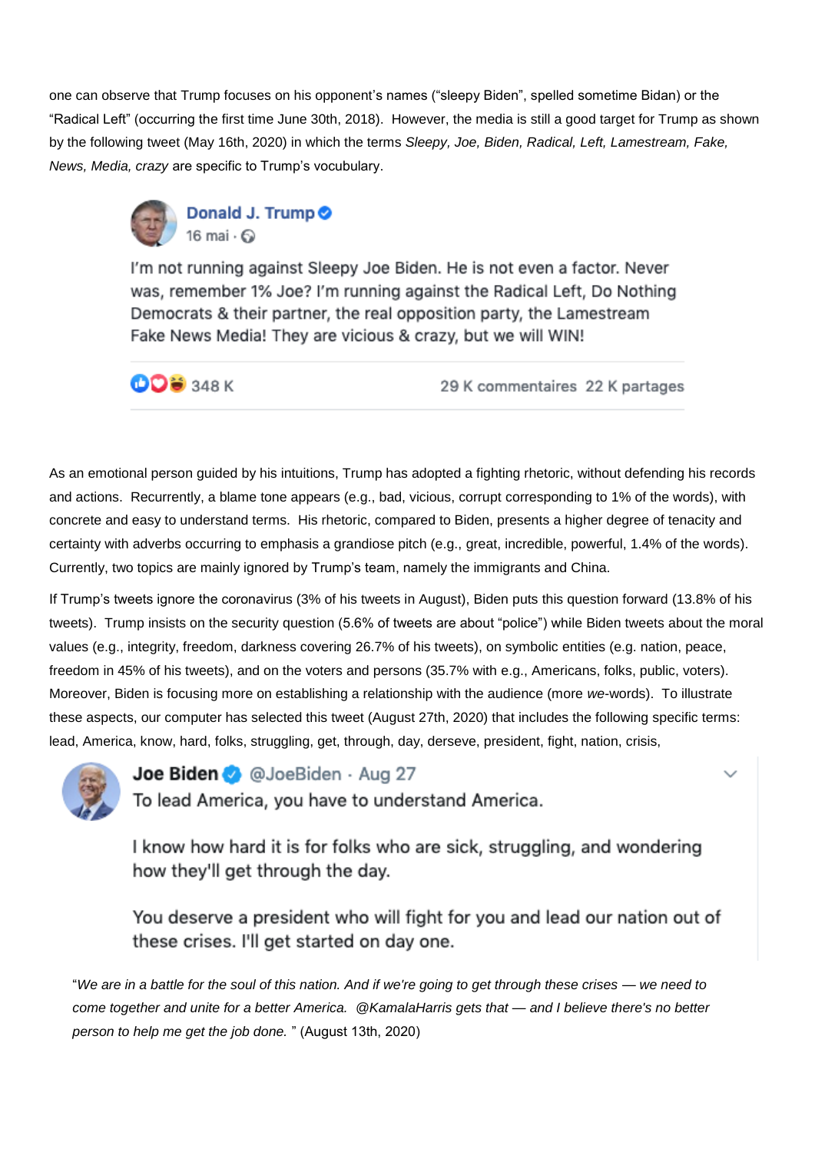one can observe that Trump focuses on his opponent's names ("sleepy Biden", spelled sometime Bidan) or the "Radical Left" (occurring the first time June 30th, 2018). However, the media is still a good target for Trump as shown by the following tweet (May 16th, 2020) in which the terms *Sleepy, Joe, Biden, Radical, Left, Lamestream, Fake, News, Media, crazy* are specific to Trump's vocubulary.



I'm not running against Sleepy Joe Biden. He is not even a factor. Never was, remember 1% Joe? I'm running against the Radical Left, Do Nothing Democrats & their partner, the real opposition party, the Lamestream Fake News Media! They are vicious & crazy, but we will WIN!

**ODS** 348 K

29 K commentaires 22 K partages

As an emotional person guided by his intuitions, Trump has adopted a fighting rhetoric, without defending his records and actions. Recurrently, a blame tone appears (e.g., bad, vicious, corrupt corresponding to 1% of the words), with concrete and easy to understand terms. His rhetoric, compared to Biden, presents a higher degree of tenacity and certainty with adverbs occurring to emphasis a grandiose pitch (e.g., great, incredible, powerful, 1.4% of the words). Currently, two topics are mainly ignored by Trump's team, namely the immigrants and China.

If Trump's tweets ignore the coronavirus (3% of his tweets in August), Biden puts this question forward (13.8% of his tweets). Trump insists on the security question (5.6% of tweets are about "police") while Biden tweets about the moral values (e.g., integrity, freedom, darkness covering 26.7% of his tweets), on symbolic entities (e.g. nation, peace, freedom in 45% of his tweets), and on the voters and persons (35.7% with e.g., Americans, folks, public, voters). Moreover, Biden is focusing more on establishing a relationship with the audience (more *we*-words). To illustrate these aspects, our computer has selected this tweet (August 27th, 2020) that includes the following specific terms: lead, America, know, hard, folks, struggling, get, through, day, derseve, president, fight, nation, crisis,



Joe Biden @ @JoeBiden - Aug 27

To lead America, you have to understand America.

I know how hard it is for folks who are sick, struggling, and wondering how they'll get through the day.

You deserve a president who will fight for you and lead our nation out of these crises. I'll get started on day one.

"*We are in a battle for the soul of this nation. And if we're going to get through these crises — we need to come together and unite for a better America. @KamalaHarris gets that — and I believe there's no better person to help me get the job done.* " (August 13th, 2020)